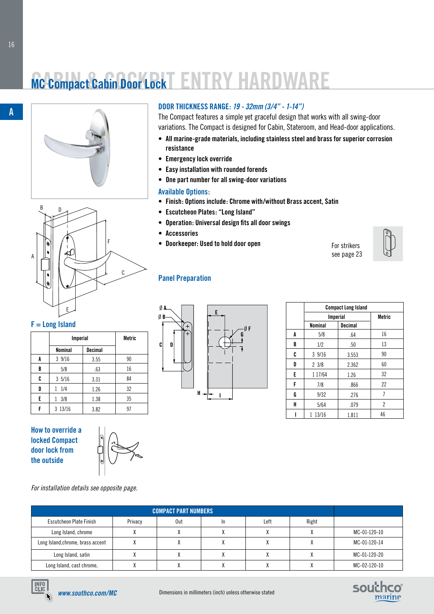# **MC Compact Cabin Door Lock ENTRY HARDWA**





#### **F = Long Island**

|   | <b>Imperial</b> |                | <b>Metric</b> |
|---|-----------------|----------------|---------------|
|   | <b>Nominal</b>  | <b>Decimal</b> |               |
| A | 39/16           | 3.55           | 90            |
| B | 5/8             | .63            | 16            |
| C | 35/16           | 3.31           | 84            |
| D | 1/4<br>1        | 1.26           | 32            |
| E | 3/8<br>1        | 1.38           | 35            |
| F | 3 13/16         | 3.82           | 97            |

**How to override a locked Compact door lock from the outside**



**M/S Offshore** *For installation details see opposite page.*

#### **DOOR THICKNESS RANGE:** *19 - 32mm (3/4" - 1-14")*

The Compact features a simple yet graceful design that works with all swing-door variations. The Compact is designed for Cabin, Stateroom, and Head-door applications.

- **• All marine-grade materials, including stainless steel and brass for superior corrosion resistance**
- **• Emergency lock override**
- **• Easy installation with rounded forends**
- **• One part number for all swing-door variations**

#### **Available Options:**

- **• Finish: Options include: Chrome with/without Brass accent, Satin**
- **• Escutcheon Plates: "Long Island"**
- **• Operation: Universal design fits all door swings**
- **• Accessories**
- **• Doorkeeper: Used to hold door open**

For strikers see page 23





| <b>Compact Long Island</b> |                 |                |               |
|----------------------------|-----------------|----------------|---------------|
|                            | <b>Imperial</b> |                | <b>Metric</b> |
|                            | <b>Nominal</b>  | <b>Decimal</b> |               |
| A                          | 5/8             | .64            | 16            |
| B                          | 1/2             | .50            | 13            |
| C                          | 39/16           | 3.553          | 90            |
| D                          | 23/8            | 2.362          | 60            |
| E                          | 1 17/64         | 1.26           | 32            |
| F                          | 7/8             | .866           | 22            |
| G                          | 9/32            | .276           | 7             |
| H                          | 5/64            | .079           | 2             |
|                            | 13/16<br>1      | 1.811          | 46            |

|                                   |         | <b>COMPACT PART NUMBERS</b> |     |      |              |              |
|-----------------------------------|---------|-----------------------------|-----|------|--------------|--------------|
| Escutcheon Plate Finish           | Privacy | 0ut                         | -In | Left | Right        |              |
| Long Island, chrome               |         |                             |     |      |              | MC-01-120-10 |
| Long Island, chrome, brass accent |         |                             |     |      |              | MC-01-120-14 |
| Long Island, satin                |         |                             |     |      | $\mathbf{v}$ | MC-01-120-20 |
| Long Island, cast chrome,         |         |                             |     |      |              | MC-02-120-10 |





**A**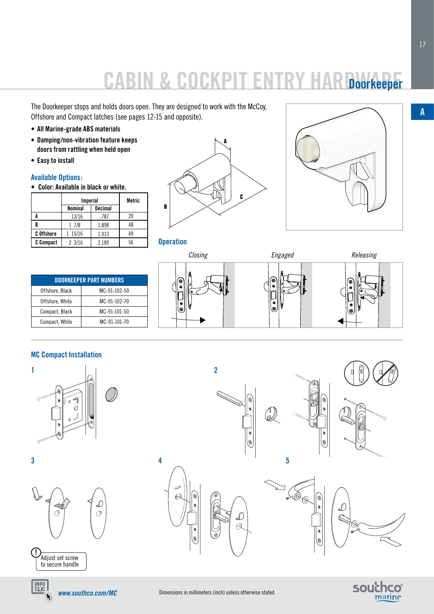## **CABIN & COCKPIT EN Doorkeeper**

The Doorkeeper stops and holds doors open. They are designed to work with the McCoy, Offshore and Compact latches (see pages 12-15 and opposite).

- **• All Marine-grade ABS materials**
- **• Damping/non-vibration feature keeps doors from rattling when held open**
- **• Easy to install**

### **Available Options:**

**• Color: Available in black or white.**

|                   | <b>Imperial</b>  |                | Metric |
|-------------------|------------------|----------------|--------|
|                   | Nominal          | <b>Decimal</b> |        |
|                   | 13/16            | .787           | 20     |
|                   | 1 7/8            | 1.898          | 48     |
| <b>C</b> Offshore | 15/16            | 1.913          | 49     |
| C Compact         | $2 \frac{3}{16}$ | 2.189          | 56     |







| <b>DOORKEEPER PART NUMBERS</b> |              |  |
|--------------------------------|--------------|--|
| Offshore, Black                | MC-91-102-50 |  |
| Offshore, White                | MC-91-102-70 |  |
| Compact, Black                 | MC-91-101-50 |  |
| Compact, White                 | MC-91-101-70 |  |



**2**



#### **MC Compact Installation**







**!** Adjust set screw to secure handle







6





L

 $\beta$ 

B)



**A**